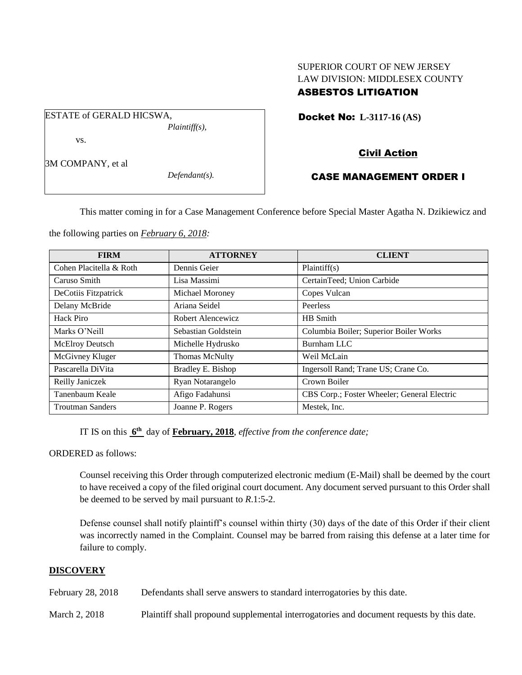## SUPERIOR COURT OF NEW JERSEY LAW DIVISION: MIDDLESEX COUNTY ASBESTOS LITIGATION

Docket No: **L-3117-16 (AS)** 

vs.

ESTATE of GERALD HICSWA,

3M COMPANY, et al

*Defendant(s).*

*Plaintiff(s),*

# Civil Action

## CASE MANAGEMENT ORDER I

This matter coming in for a Case Management Conference before Special Master Agatha N. Dzikiewicz and

the following parties on *February 6, 2018:*

| <b>FIRM</b>             | <b>ATTORNEY</b>        | <b>CLIENT</b>                               |
|-------------------------|------------------------|---------------------------------------------|
| Cohen Placitella & Roth | Dennis Geier           | Plaintiff(s)                                |
| Caruso Smith            | Lisa Massimi           | CertainTeed; Union Carbide                  |
| DeCotiis Fitzpatrick    | <b>Michael Moroney</b> | Copes Vulcan                                |
| Delany McBride          | Ariana Seidel          | Peerless                                    |
| Hack Piro               | Robert Alencewicz      | HB Smith                                    |
| Marks O'Neill           | Sebastian Goldstein    | Columbia Boiler; Superior Boiler Works      |
| <b>McElroy Deutsch</b>  | Michelle Hydrusko      | Burnham LLC                                 |
| McGivney Kluger         | <b>Thomas McNulty</b>  | Weil McLain                                 |
| Pascarella DiVita       | Bradley E. Bishop      | Ingersoll Rand; Trane US; Crane Co.         |
| Reilly Janiczek         | Ryan Notarangelo       | Crown Boiler                                |
| Tanenbaum Keale         | Afigo Fadahunsi        | CBS Corp.; Foster Wheeler; General Electric |
| <b>Troutman Sanders</b> | Joanne P. Rogers       | Mestek, Inc.                                |

IT IS on this **6 th** day of **February, 2018**, *effective from the conference date;*

ORDERED as follows:

Counsel receiving this Order through computerized electronic medium (E-Mail) shall be deemed by the court to have received a copy of the filed original court document. Any document served pursuant to this Order shall be deemed to be served by mail pursuant to *R*.1:5-2.

Defense counsel shall notify plaintiff's counsel within thirty (30) days of the date of this Order if their client was incorrectly named in the Complaint. Counsel may be barred from raising this defense at a later time for failure to comply.

## **DISCOVERY**

February 28, 2018 Defendants shall serve answers to standard interrogatories by this date.

March 2, 2018 Plaintiff shall propound supplemental interrogatories and document requests by this date.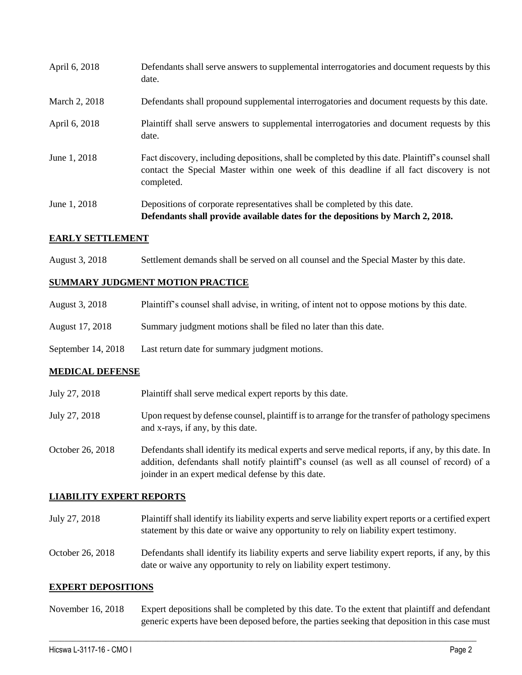| April 6, 2018 | Defendants shall serve answers to supplemental interrogatories and document requests by this<br>date.                                                                                                       |
|---------------|-------------------------------------------------------------------------------------------------------------------------------------------------------------------------------------------------------------|
| March 2, 2018 | Defendants shall propound supplemental interrogatories and document requests by this date.                                                                                                                  |
| April 6, 2018 | Plaintiff shall serve answers to supplemental interrogatories and document requests by this<br>date.                                                                                                        |
| June 1, 2018  | Fact discovery, including depositions, shall be completed by this date. Plaintiff's counsel shall<br>contact the Special Master within one week of this deadline if all fact discovery is not<br>completed. |
| June 1, 2018  | Depositions of corporate representatives shall be completed by this date.<br>Defendants shall provide available dates for the depositions by March 2, 2018.                                                 |

## **EARLY SETTLEMENT**

August 3, 2018 Settlement demands shall be served on all counsel and the Special Master by this date.

### **SUMMARY JUDGMENT MOTION PRACTICE**

| August 3, 2018 | Plaintiff's counsel shall advise, in writing, of intent not to oppose motions by this date. |  |  |
|----------------|---------------------------------------------------------------------------------------------|--|--|
|                |                                                                                             |  |  |

- August 17, 2018 Summary judgment motions shall be filed no later than this date.
- September 14, 2018 Last return date for summary judgment motions.

## **MEDICAL DEFENSE**

| July 27, 2018 | Plaintiff shall serve medical expert reports by this date. |  |
|---------------|------------------------------------------------------------|--|
|               |                                                            |  |

- July 27, 2018 Upon request by defense counsel, plaintiff is to arrange for the transfer of pathology specimens and x-rays, if any, by this date.
- October 26, 2018 Defendants shall identify its medical experts and serve medical reports, if any, by this date. In addition, defendants shall notify plaintiff's counsel (as well as all counsel of record) of a joinder in an expert medical defense by this date.

## **LIABILITY EXPERT REPORTS**

- July 27, 2018 Plaintiff shall identify its liability experts and serve liability expert reports or a certified expert statement by this date or waive any opportunity to rely on liability expert testimony.
- October 26, 2018 Defendants shall identify its liability experts and serve liability expert reports, if any, by this date or waive any opportunity to rely on liability expert testimony.

#### **EXPERT DEPOSITIONS**

November 16, 2018 Expert depositions shall be completed by this date. To the extent that plaintiff and defendant generic experts have been deposed before, the parties seeking that deposition in this case must

 $\_$  ,  $\_$  ,  $\_$  ,  $\_$  ,  $\_$  ,  $\_$  ,  $\_$  ,  $\_$  ,  $\_$  ,  $\_$  ,  $\_$  ,  $\_$  ,  $\_$  ,  $\_$  ,  $\_$  ,  $\_$  ,  $\_$  ,  $\_$  ,  $\_$  ,  $\_$  ,  $\_$  ,  $\_$  ,  $\_$  ,  $\_$  ,  $\_$  ,  $\_$  ,  $\_$  ,  $\_$  ,  $\_$  ,  $\_$  ,  $\_$  ,  $\_$  ,  $\_$  ,  $\_$  ,  $\_$  ,  $\_$  ,  $\_$  ,